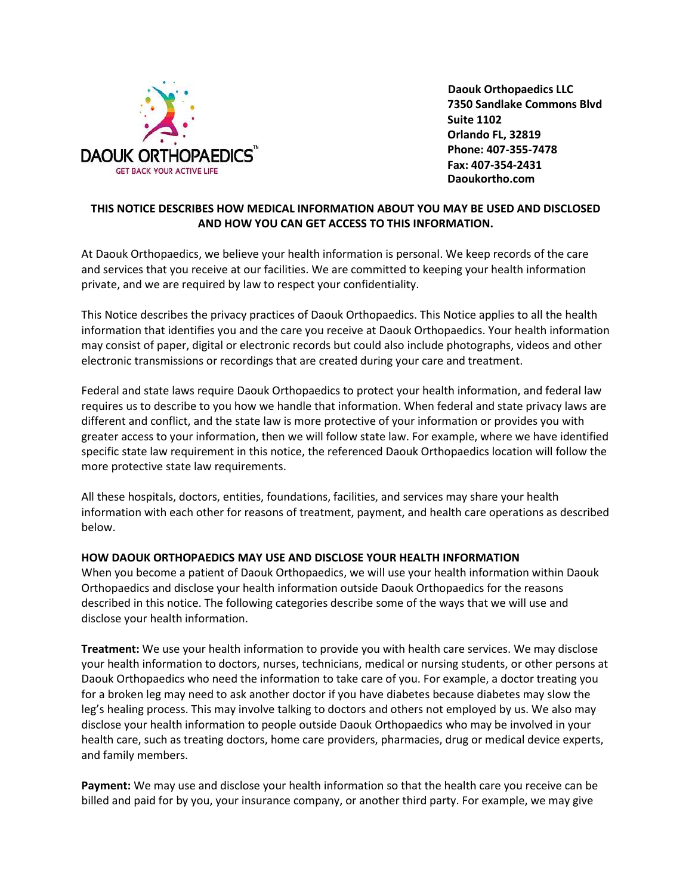

 **Daouk Orthopaedics LLC 7350 Sandlake Commons Blvd Suite 1102 Orlando FL, 32819 Phone: 407-355-7478 Fax: 407-354-2431 Daoukortho.com**

# **THIS NOTICE DESCRIBES HOW MEDICAL INFORMATION ABOUT YOU MAY BE USED AND DISCLOSED AND HOW YOU CAN GET ACCESS TO THIS INFORMATION.**

At Daouk Orthopaedics, we believe your health information is personal. We keep records of the care and services that you receive at our facilities. We are committed to keeping your health information private, and we are required by law to respect your confidentiality.

This Notice describes the privacy practices of Daouk Orthopaedics. This Notice applies to all the health information that identifies you and the care you receive at Daouk Orthopaedics. Your health information may consist of paper, digital or electronic records but could also include photographs, videos and other electronic transmissions or recordings that are created during your care and treatment.

Federal and state laws require Daouk Orthopaedics to protect your health information, and federal law requires us to describe to you how we handle that information. When federal and state privacy laws are different and conflict, and the state law is more protective of your information or provides you with greater access to your information, then we will follow state law. For example, where we have identified specific state law requirement in this notice, the referenced Daouk Orthopaedics location will follow the more protective state law requirements.

All these hospitals, doctors, entities, foundations, facilities, and services may share your health information with each other for reasons of treatment, payment, and health care operations as described below.

## **HOW DAOUK ORTHOPAEDICS MAY USE AND DISCLOSE YOUR HEALTH INFORMATION**

When you become a patient of Daouk Orthopaedics, we will use your health information within Daouk Orthopaedics and disclose your health information outside Daouk Orthopaedics for the reasons described in this notice. The following categories describe some of the ways that we will use and disclose your health information.

**Treatment:** We use your health information to provide you with health care services. We may disclose your health information to doctors, nurses, technicians, medical or nursing students, or other persons at Daouk Orthopaedics who need the information to take care of you. For example, a doctor treating you for a broken leg may need to ask another doctor if you have diabetes because diabetes may slow the leg's healing process. This may involve talking to doctors and others not employed by us. We also may disclose your health information to people outside Daouk Orthopaedics who may be involved in your health care, such as treating doctors, home care providers, pharmacies, drug or medical device experts, and family members.

**Payment:** We may use and disclose your health information so that the health care you receive can be billed and paid for by you, your insurance company, or another third party. For example, we may give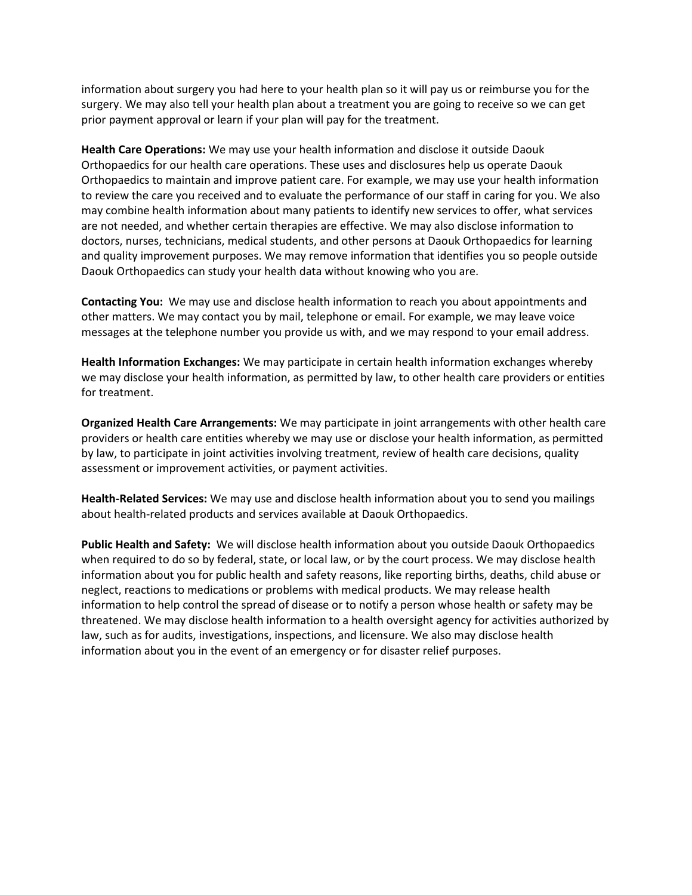information about surgery you had here to your health plan so it will pay us or reimburse you for the surgery. We may also tell your health plan about a treatment you are going to receive so we can get prior payment approval or learn if your plan will pay for the treatment.

**Health Care Operations:** We may use your health information and disclose it outside Daouk Orthopaedics for our health care operations. These uses and disclosures help us operate Daouk Orthopaedics to maintain and improve patient care. For example, we may use your health information to review the care you received and to evaluate the performance of our staff in caring for you. We also may combine health information about many patients to identify new services to offer, what services are not needed, and whether certain therapies are effective. We may also disclose information to doctors, nurses, technicians, medical students, and other persons at Daouk Orthopaedics for learning and quality improvement purposes. We may remove information that identifies you so people outside Daouk Orthopaedics can study your health data without knowing who you are.

**Contacting You:** We may use and disclose health information to reach you about appointments and other matters. We may contact you by mail, telephone or email. For example, we may leave voice messages at the telephone number you provide us with, and we may respond to your email address.

**Health Information Exchanges:** We may participate in certain health information exchanges whereby we may disclose your health information, as permitted by law, to other health care providers or entities for treatment.

**Organized Health Care Arrangements:** We may participate in joint arrangements with other health care providers or health care entities whereby we may use or disclose your health information, as permitted by law, to participate in joint activities involving treatment, review of health care decisions, quality assessment or improvement activities, or payment activities.

**Health-Related Services:** We may use and disclose health information about you to send you mailings about health-related products and services available at Daouk Orthopaedics.

**Public Health and Safety:** We will disclose health information about you outside Daouk Orthopaedics when required to do so by federal, state, or local law, or by the court process. We may disclose health information about you for public health and safety reasons, like reporting births, deaths, child abuse or neglect, reactions to medications or problems with medical products. We may release health information to help control the spread of disease or to notify a person whose health or safety may be threatened. We may disclose health information to a health oversight agency for activities authorized by law, such as for audits, investigations, inspections, and licensure. We also may disclose health information about you in the event of an emergency or for disaster relief purposes.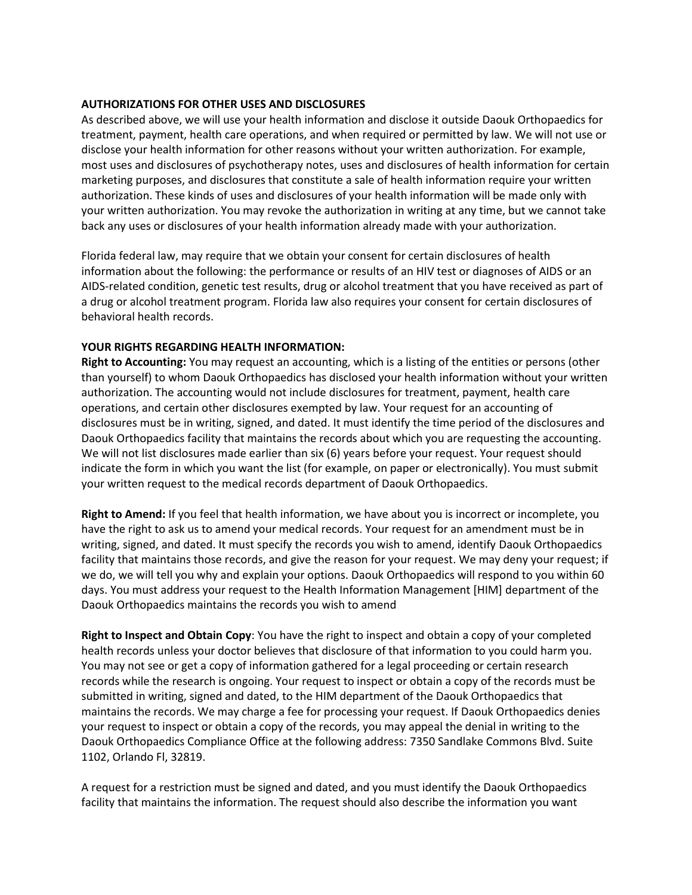#### **AUTHORIZATIONS FOR OTHER USES AND DISCLOSURES**

As described above, we will use your health information and disclose it outside Daouk Orthopaedics for treatment, payment, health care operations, and when required or permitted by law. We will not use or disclose your health information for other reasons without your written authorization. For example, most uses and disclosures of psychotherapy notes, uses and disclosures of health information for certain marketing purposes, and disclosures that constitute a sale of health information require your written authorization. These kinds of uses and disclosures of your health information will be made only with your written authorization. You may revoke the authorization in writing at any time, but we cannot take back any uses or disclosures of your health information already made with your authorization.

Florida federal law, may require that we obtain your consent for certain disclosures of health information about the following: the performance or results of an HIV test or diagnoses of AIDS or an AIDS-related condition, genetic test results, drug or alcohol treatment that you have received as part of a drug or alcohol treatment program. Florida law also requires your consent for certain disclosures of behavioral health records.

## **YOUR RIGHTS REGARDING HEALTH INFORMATION:**

**Right to Accounting:** You may request an accounting, which is a listing of the entities or persons (other than yourself) to whom Daouk Orthopaedics has disclosed your health information without your written authorization. The accounting would not include disclosures for treatment, payment, health care operations, and certain other disclosures exempted by law. Your request for an accounting of disclosures must be in writing, signed, and dated. It must identify the time period of the disclosures and Daouk Orthopaedics facility that maintains the records about which you are requesting the accounting. We will not list disclosures made earlier than six (6) years before your request. Your request should indicate the form in which you want the list (for example, on paper or electronically). You must submit your written request to the medical records department of Daouk Orthopaedics.

**Right to Amend:** If you feel that health information, we have about you is incorrect or incomplete, you have the right to ask us to amend your medical records. Your request for an amendment must be in writing, signed, and dated. It must specify the records you wish to amend, identify Daouk Orthopaedics facility that maintains those records, and give the reason for your request. We may deny your request; if we do, we will tell you why and explain your options. Daouk Orthopaedics will respond to you within 60 days. You must address your request to the Health Information Management [HIM] department of the Daouk Orthopaedics maintains the records you wish to amend

**Right to Inspect and Obtain Copy**: You have the right to inspect and obtain a copy of your completed health records unless your doctor believes that disclosure of that information to you could harm you. You may not see or get a copy of information gathered for a legal proceeding or certain research records while the research is ongoing. Your request to inspect or obtain a copy of the records must be submitted in writing, signed and dated, to the HIM department of the Daouk Orthopaedics that maintains the records. We may charge a fee for processing your request. If Daouk Orthopaedics denies your request to inspect or obtain a copy of the records, you may appeal the denial in writing to the Daouk Orthopaedics Compliance Office at the following address: 7350 Sandlake Commons Blvd. Suite 1102, Orlando Fl, 32819.

A request for a restriction must be signed and dated, and you must identify the Daouk Orthopaedics facility that maintains the information. The request should also describe the information you want